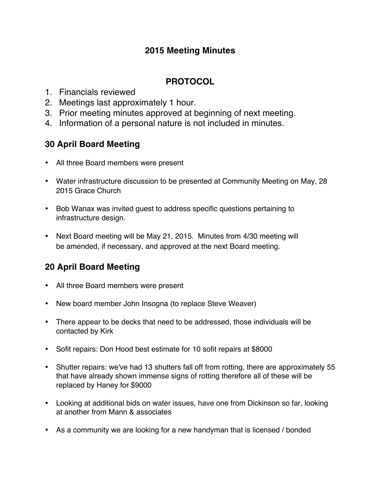### **2015 Meeting Minutes**

### **PROTOCOL**

- 1. Financials reviewed
- 2. Meetings last approximately 1 hour.
- 3. Prior meeting minutes approved at beginning of next meeting.
- 4. Information of a personal nature is not included in minutes.

## **30 April Board Meeting**

- All three Board members were present
- Water infrastructure discussion to be presented at Community Meeting on May, 28 2015 Grace Church
- Bob Wanax was invited guest to address specific questions pertaining to infrastructure design.
- Next Board meeting will be May 21, 2015. Minutes from 4/30 meeting will be amended, if necessary, and approved at the next Board meeting.

# **20 April Board Meeting**

- All three Board members were present
- New board member John Insogna (to replace Steve Weaver)
- There appear to be decks that need to be addressed, those individuals will be contacted by Kirk
- Sofit repairs: Don Hood best estimate for 10 sofit repairs at \$8000
- Shutter repairs: we've had 13 shutters fall off from rotting, there are approximately 55 that have already shown immense signs of rotting therefore all of these will be replaced by Haney for \$9000
- Looking at additional bids on water issues, have one from Dickinson so far, looking at another from Mann & associates
- As a community we are looking for a new handyman that is licensed / bonded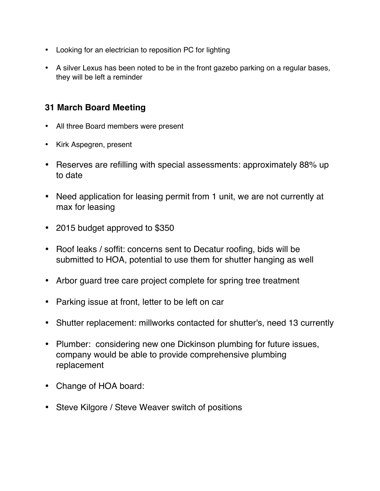- Looking for an electrician to reposition PC for lighting
- A silver Lexus has been noted to be in the front gazebo parking on a regular bases, they will be left a reminder

### **31 March Board Meeting**

- All three Board members were present
- Kirk Aspegren, present
- Reserves are refilling with special assessments: approximately 88% up to date
- Need application for leasing permit from 1 unit, we are not currently at max for leasing
- 2015 budget approved to \$350
- Roof leaks / soffit: concerns sent to Decatur roofing, bids will be submitted to HOA, potential to use them for shutter hanging as well
- Arbor guard tree care project complete for spring tree treatment
- Parking issue at front, letter to be left on car
- Shutter replacement: millworks contacted for shutter's, need 13 currently
- Plumber: considering new one Dickinson plumbing for future issues, company would be able to provide comprehensive plumbing replacement
- Change of HOA board:
- Steve Kilgore / Steve Weaver switch of positions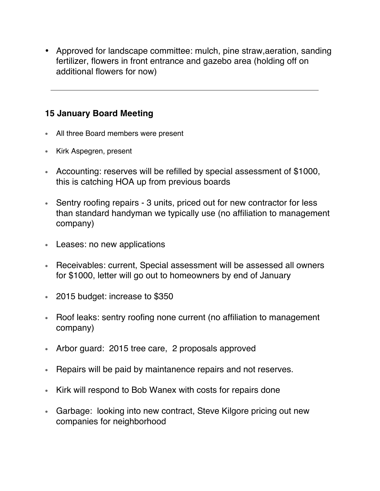• Approved for landscape committee: mulch, pine straw,aeration, sanding fertilizer, flowers in front entrance and gazebo area (holding off on additional flowers for now)

### **15 January Board Meeting**

- All three Board members were present
- Kirk Aspegren, present
- Accounting: reserves will be refilled by special assessment of \$1000, this is catching HOA up from previous boards
- Sentry roofing repairs 3 units, priced out for new contractor for less than standard handyman we typically use (no affiliation to management company)
- Leases: no new applications
- Receivables: current, Special assessment will be assessed all owners for \$1000, letter will go out to homeowners by end of January
- 2015 budget: increase to \$350
- Roof leaks: sentry roofing none current (no affiliation to management company)
- Arbor guard: 2015 tree care, 2 proposals approved
- Repairs will be paid by maintanence repairs and not reserves.
- Kirk will respond to Bob Wanex with costs for repairs done
- Garbage: looking into new contract, Steve Kilgore pricing out new companies for neighborhood